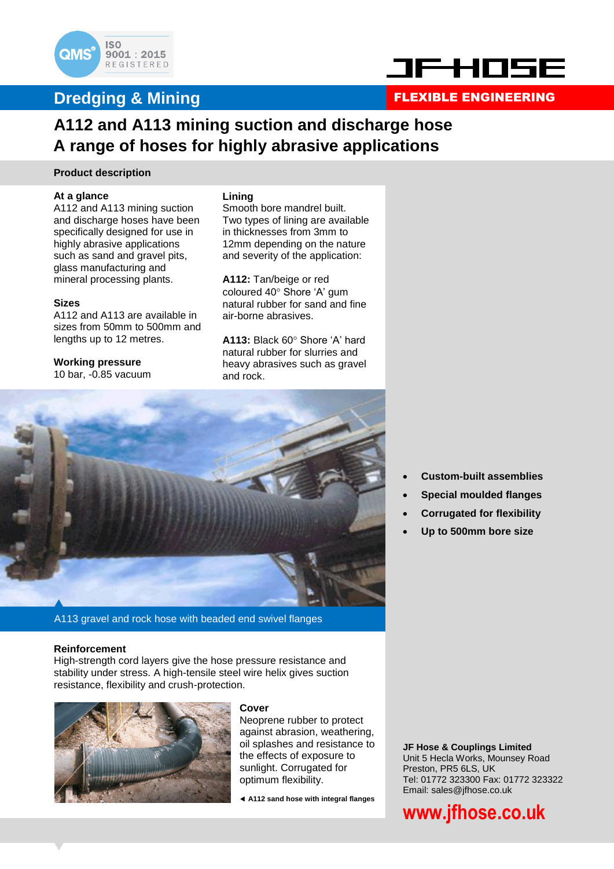

### **Dredging & Mining FLEXIBLE ENGINEERING**



### **A112 and A113 mining suction and discharge hose A range of hoses for highly abrasive applications**

#### **Product description**

#### **At a glance**

A112 and A113 mining suction and discharge hoses have been specifically designed for use in highly abrasive applications such as sand and gravel pits, glass manufacturing and mineral processing plants.

#### **Sizes**

A112 and A113 are available in sizes from 50mm to 500mm and lengths up to 12 metres.

#### **Working pressure** 10 bar, -0.85 vacuum

**Lining** Smooth bore mandrel built. Two types of lining are available in thicknesses from 3mm to 12mm depending on the nature and severity of the application:

**A112:** Tan/beige or red coloured 40° Shore 'A' gum natural rubber for sand and fine air-borne abrasives.

A113: Black 60° Shore 'A' hard natural rubber for slurries and heavy abrasives such as gravel and rock.



A113 gravel and rock hose with beaded end swivel flanges

#### **Reinforcement**

High-strength cord layers give the hose pressure resistance and stability under stress. A high-tensile steel wire helix gives suction resistance, flexibility and crush-protection.



#### **Cover**

Neoprene rubber to protect against abrasion, weathering, oil splashes and resistance to the effects of exposure to sunlight. Corrugated for optimum flexibility.

**A112 sand hose with integral flanges**

- **Custom-built assemblies**
- **Special moulded flanges**
- **Corrugated for flexibility**
- **Up to 500mm bore size**

**JF Hose & Couplings Limited** Unit 5 Hecla Works, Mounsey Road Preston, PR5 6LS, UK Tel: 01772 323300 Fax: 01772 323322 Email: sales@jfhose.co.uk

## **www.jfhose.co.uk**